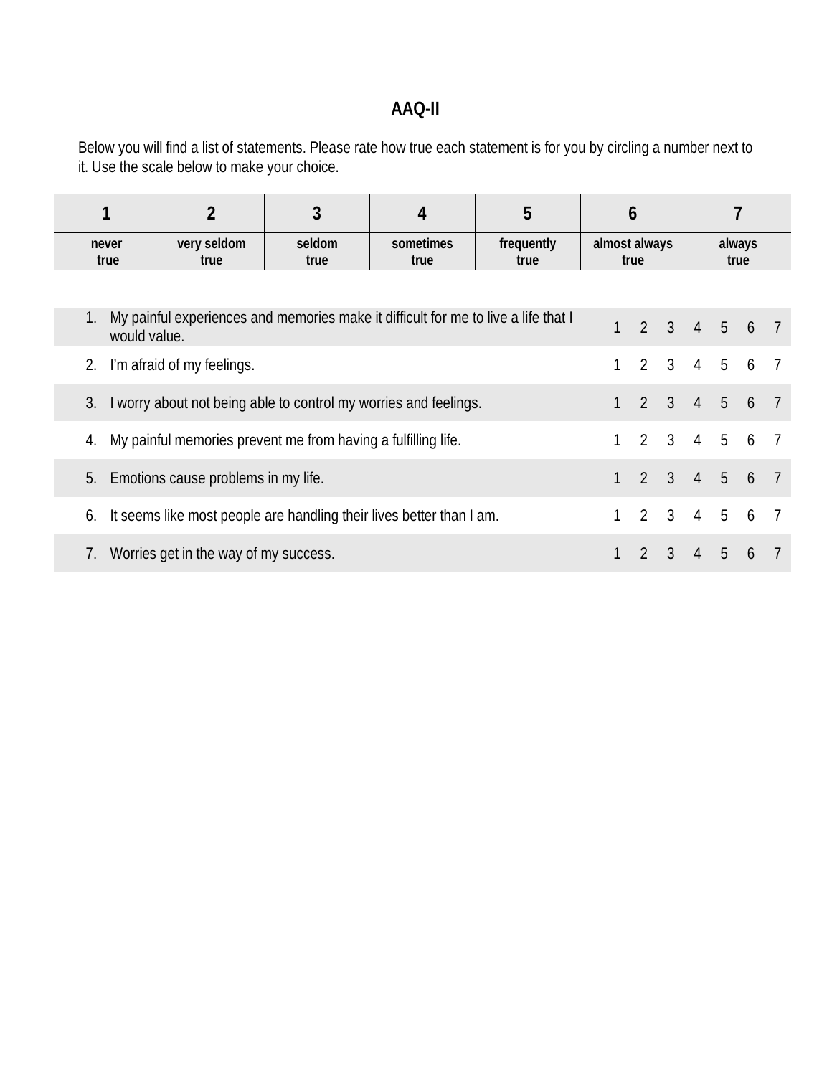## **AAQ-II**

Below you will find a list of statements. Please rate how true each statement is for you by circling a number next to it. Use the scale below to make your choice.

|                                                                                                          |                                       | 3              | 4                 | 5                  | 6                     |                |                             |                |             |   |  |
|----------------------------------------------------------------------------------------------------------|---------------------------------------|----------------|-------------------|--------------------|-----------------------|----------------|-----------------------------|----------------|-------------|---|--|
| never<br>true                                                                                            | very seldom<br>true                   | seldom<br>true | sometimes<br>true | frequently<br>true | almost always<br>true |                | always<br>true              |                |             |   |  |
|                                                                                                          |                                       |                |                   |                    |                       |                |                             |                |             |   |  |
| My painful experiences and memories make it difficult for me to live a life that I<br>1.<br>would value. |                                       |                |                   |                    |                       | 1              |                             |                | 2 3 4 5 6 7 |   |  |
| I'm afraid of my feelings.<br>2.                                                                         |                                       |                |                   |                    |                       |                | $2 \quad 3 \quad 4$         |                | 5           | 6 |  |
| I worry about not being able to control my worries and feelings.<br>3.                                   |                                       |                |                   |                    |                       | $\overline{2}$ | $\mathcal{S}$               | $\overline{4}$ | 5           | 6 |  |
| 4. My painful memories prevent me from having a fulfilling life.                                         |                                       |                |                   |                    |                       | $\overline{2}$ | $\mathbf{3}$                | $\overline{4}$ | 5           | 6 |  |
| Emotions cause problems in my life.<br>5.                                                                |                                       |                |                   |                    |                       |                | $2 \quad 3 \quad 4 \quad 5$ |                |             | 6 |  |
| It seems like most people are handling their lives better than I am.<br>6.                               |                                       |                |                   |                    |                       | 2              | $\mathcal{S}$               | $\overline{4}$ | 5           | 6 |  |
|                                                                                                          | Worries get in the way of my success. |                |                   |                    |                       |                | $\mathfrak{Z}$              | $\overline{4}$ | 5           | 6 |  |